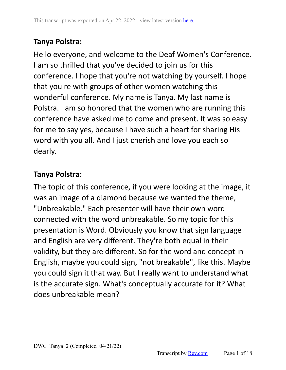Hello everyone, and welcome to the Deaf Women's Conference. I am so thrilled that you've decided to join us for this conference. I hope that you're not watching by yourself. I hope that you're with groups of other women watching this wonderful conference. My name is Tanya. My last name is Polstra. I am so honored that the women who are running this conference have asked me to come and present. It was so easy for me to say yes, because I have such a heart for sharing His word with you all. And I just cherish and love you each so dearly.

### **Tanya Polstra:**

The topic of this conference, if you were looking at the image, it was an image of a diamond because we wanted the theme, "Unbreakable." Each presenter will have their own word connected with the word unbreakable. So my topic for this presentation is Word. Obviously you know that sign language and English are very different. They're both equal in their validity, but they are different. So for the word and concept in English, maybe you could sign, "not breakable", like this. Maybe you could sign it that way. But I really want to understand what is the accurate sign. What's conceptually accurate for it? What does unbreakable mean?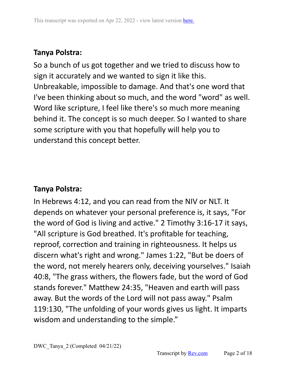So a bunch of us got together and we tried to discuss how to sign it accurately and we wanted to sign it like this. Unbreakable, impossible to damage. And that's one word that I've been thinking about so much, and the word "word" as well. Word like scripture, I feel like there's so much more meaning behind it. The concept is so much deeper. So I wanted to share some scripture with you that hopefully will help you to understand this concept better.

# **Tanya Polstra:**

In Hebrews 4:12, and you can read from the NIV or NLT. It depends on whatever your personal preference is, it says, "For the word of God is living and active." 2 Timothy 3:16-17 it says, "All scripture is God breathed. It's profitable for teaching, reproof, correction and training in righteousness. It helps us discern what's right and wrong." James 1:22, "But be doers of the word, not merely hearers only, deceiving yourselves." Isaiah 40:8, "The grass withers, the flowers fade, but the word of God stands forever." Matthew 24:35, "Heaven and earth will pass away. But the words of the Lord will not pass away." Psalm 119:130, "The unfolding of your words gives us light. It imparts wisdom and understanding to the simple."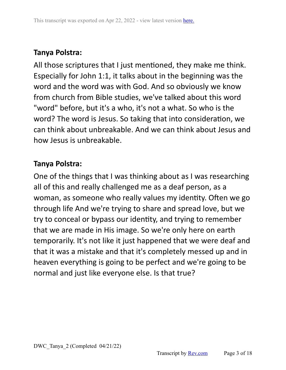All those scriptures that I just mentioned, they make me think. Especially for John 1:1, it talks about in the beginning was the word and the word was with God. And so obviously we know from church from Bible studies, we've talked about this word "word" before, but it's a who, it's not a what. So who is the word? The word is Jesus. So taking that into consideration, we can think about unbreakable. And we can think about Jesus and how Jesus is unbreakable.

## **Tanya Polstra:**

One of the things that I was thinking about as I was researching all of this and really challenged me as a deaf person, as a woman, as someone who really values my identity. Often we go through life And we're trying to share and spread love, but we try to conceal or bypass our identity, and trying to remember that we are made in His image. So we're only here on earth temporarily. It's not like it just happened that we were deaf and that it was a mistake and that it's completely messed up and in heaven everything is going to be perfect and we're going to be normal and just like everyone else. Is that true?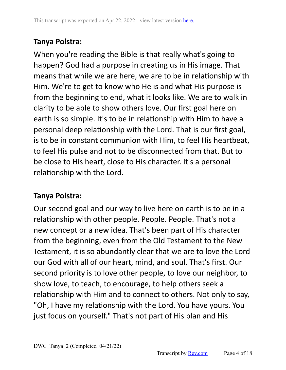When you're reading the Bible is that really what's going to happen? God had a purpose in creating us in His image. That means that while we are here, we are to be in relationship with Him. We're to get to know who He is and what His purpose is from the beginning to end, what it looks like. We are to walk in clarity to be able to show others love. Our first goal here on earth is so simple. It's to be in relationship with Him to have a personal deep relationship with the Lord. That is our first goal, is to be in constant communion with Him, to feel His heartbeat, to feel His pulse and not to be disconnected from that. But to be close to His heart, close to His character. It's a personal relationship with the Lord.

### **Tanya Polstra:**

Our second goal and our way to live here on earth is to be in a relationship with other people. People. People. That's not a new concept or a new idea. That's been part of His character from the beginning, even from the Old Testament to the New Testament, it is so abundantly clear that we are to love the Lord our God with all of our heart, mind, and soul. That's first. Our second priority is to love other people, to love our neighbor, to show love, to teach, to encourage, to help others seek a relationship with Him and to connect to others. Not only to say, "Oh, I have my relationship with the Lord. You have yours. You just focus on yourself." That's not part of His plan and His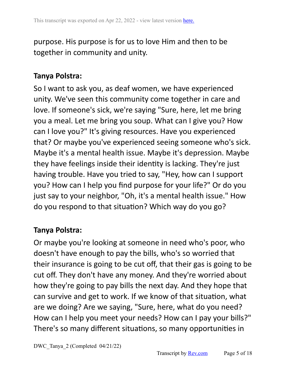purpose. His purpose is for us to love Him and then to be together in community and unity.

### **Tanya Polstra:**

So I want to ask you, as deaf women, we have experienced unity. We've seen this community come together in care and love. If someone's sick, we're saying "Sure, here, let me bring you a meal. Let me bring you soup. What can I give you? How can I love you?" It's giving resources. Have you experienced that? Or maybe you've experienced seeing someone who's sick. Maybe it's a mental health issue. Maybe it's depression. Maybe they have feelings inside their identity is lacking. They're just having trouble. Have you tried to say, "Hey, how can I support you? How can I help you find purpose for your life?" Or do you just say to your neighbor, "Oh, it's a mental health issue." How do you respond to that situation? Which way do you go?

### **Tanya Polstra:**

Or maybe you're looking at someone in need who's poor, who doesn't have enough to pay the bills, who's so worried that their insurance is going to be cut off, that their gas is going to be cut off. They don't have any money. And they're worried about how they're going to pay bills the next day. And they hope that can survive and get to work. If we know of that situation, what are we doing? Are we saying, "Sure, here, what do you need? How can I help you meet your needs? How can I pay your bills?" There's so many different situations, so many opportunities in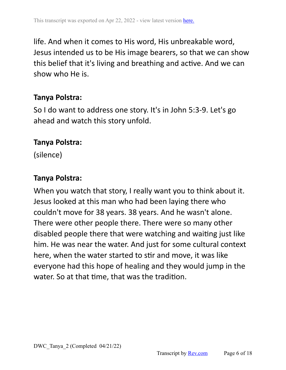life. And when it comes to His word, His unbreakable word, Jesus intended us to be His image bearers, so that we can show this belief that it's living and breathing and active. And we can show who He is.

### **Tanya Polstra:**

So I do want to address one story. It's in John 5:3-9. Let's go ahead and watch this story unfold.

#### **Tanya Polstra:**

(silence)

### **Tanya Polstra:**

When you watch that story, I really want you to think about it. Jesus looked at this man who had been laying there who couldn't move for 38 years. 38 years. And he wasn't alone. There were other people there. There were so many other disabled people there that were watching and waiting just like him. He was near the water. And just for some cultural context here, when the water started to stir and move, it was like everyone had this hope of healing and they would jump in the water. So at that time, that was the tradition.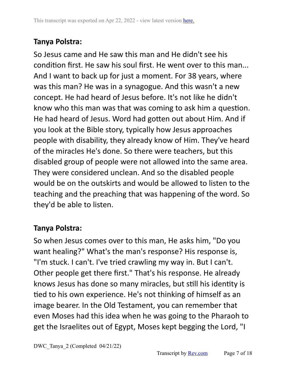So Jesus came and He saw this man and He didn't see his condition first. He saw his soul first. He went over to this man... And I want to back up for just a moment. For 38 years, where was this man? He was in a synagogue. And this wasn't a new concept. He had heard of Jesus before. It's not like he didn't know who this man was that was coming to ask him a question. He had heard of Jesus. Word had gotten out about Him. And if you look at the Bible story, typically how Jesus approaches people with disability, they already know of Him. They've heard of the miracles He's done. So there were teachers, but this disabled group of people were not allowed into the same area. They were considered unclean. And so the disabled people would be on the outskirts and would be allowed to listen to the teaching and the preaching that was happening of the word. So they'd be able to listen.

### **Tanya Polstra:**

So when Jesus comes over to this man, He asks him, "Do you want healing?" What's the man's response? His response is, "I'm stuck. I can't. I've tried crawling my way in. But I can't. Other people get there first." That's his response. He already knows Jesus has done so many miracles, but still his identity is tied to his own experience. He's not thinking of himself as an image bearer. In the Old Testament, you can remember that even Moses had this idea when he was going to the Pharaoh to get the Israelites out of Egypt, Moses kept begging the Lord, "I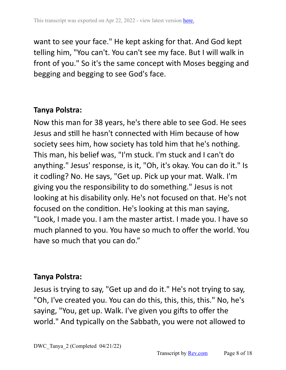want to see your face." He kept asking for that. And God kept telling him, "You can't. You can't see my face. But I will walk in front of you." So it's the same concept with Moses begging and begging and begging to see God's face.

### **Tanya Polstra:**

Now this man for 38 years, he's there able to see God. He sees Jesus and still he hasn't connected with Him because of how society sees him, how society has told him that he's nothing. This man, his belief was, "I'm stuck. I'm stuck and I can't do anything." Jesus' response, is it, "Oh, it's okay. You can do it." Is it codling? No. He says, "Get up. Pick up your mat. Walk. I'm giving you the responsibility to do something." Jesus is not looking at his disability only. He's not focused on that. He's not focused on the condition. He's looking at this man saying, "Look, I made you. I am the master artist. I made you. I have so much planned to you. You have so much to offer the world. You have so much that you can do."

#### **Tanya Polstra:**

Jesus is trying to say, "Get up and do it." He's not trying to say, "Oh, I've created you. You can do this, this, this, this." No, he's saying, "You, get up. Walk. I've given you gifts to offer the world." And typically on the Sabbath, you were not allowed to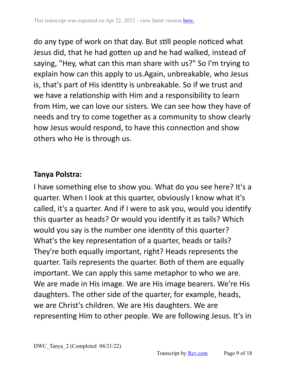do any type of work on that day. But still people noticed what Jesus did, that he had gotten up and he had walked, instead of saying, "Hey, what can this man share with us?" So I'm trying to explain how can this apply to us.Again, unbreakable, who Jesus is, that's part of His identity is unbreakable. So if we trust and we have a relationship with Him and a responsibility to learn from Him, we can love our sisters. We can see how they have of needs and try to come together as a community to show clearly how Jesus would respond, to have this connection and show others who He is through us.

### **Tanya Polstra:**

I have something else to show you. What do you see here? It's a quarter. When I look at this quarter, obviously I know what it's called, it's a quarter. And if I were to ask you, would you identify this quarter as heads? Or would you identify it as tails? Which would you say is the number one identity of this quarter? What's the key representation of a quarter, heads or tails? They're both equally important, right? Heads represents the quarter. Tails represents the quarter. Both of them are equally important. We can apply this same metaphor to who we are. We are made in His image. We are His image bearers. We're His daughters. The other side of the quarter, for example, heads, we are Christ's children. We are His daughters. We are representing Him to other people. We are following Jesus. It's in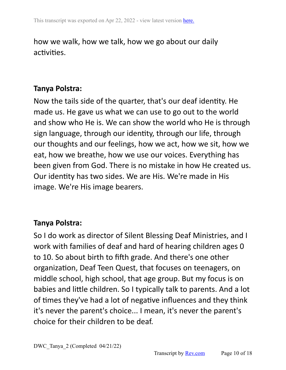### how we walk, how we talk, how we go about our daily activities.

#### **Tanya Polstra:**

Now the tails side of the quarter, that's our deaf identity. He made us. He gave us what we can use to go out to the world and show who He is. We can show the world who He is through sign language, through our identity, through our life, through our thoughts and our feelings, how we act, how we sit, how we eat, how we breathe, how we use our voices. Everything has been given from God. There is no mistake in how He created us. Our identity has two sides. We are His. We're made in His image. We're His image bearers.

#### **Tanya Polstra:**

So I do work as director of Silent Blessing Deaf Ministries, and I work with families of deaf and hard of hearing children ages 0 to 10. So about birth to fifth grade. And there's one other organization, Deaf Teen Quest, that focuses on teenagers, on middle school, high school, that age group. But my focus is on babies and little children. So I typically talk to parents. And a lot of times they've had a lot of negative influences and they think it's never the parent's choice... I mean, it's never the parent's choice for their children to be deaf.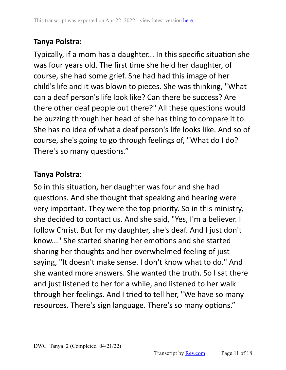Typically, if a mom has a daughter... In this specific situation she was four years old. The first time she held her daughter, of course, she had some grief. She had had this image of her child's life and it was blown to pieces. She was thinking, "What can a deaf person's life look like? Can there be success? Are there other deaf people out there?" All these questions would be buzzing through her head of she has thing to compare it to. She has no idea of what a deaf person's life looks like. And so of course, she's going to go through feelings of, "What do I do? There's so many questions."

### **Tanya Polstra:**

So in this situation, her daughter was four and she had questions. And she thought that speaking and hearing were very important. They were the top priority. So in this ministry, she decided to contact us. And she said, "Yes, I'm a believer. I follow Christ. But for my daughter, she's deaf. And I just don't know..." She started sharing her emotions and she started sharing her thoughts and her overwhelmed feeling of just saying, "It doesn't make sense. I don't know what to do." And she wanted more answers. She wanted the truth. So I sat there and just listened to her for a while, and listened to her walk through her feelings. And I tried to tell her, "We have so many resources. There's sign language. There's so many options."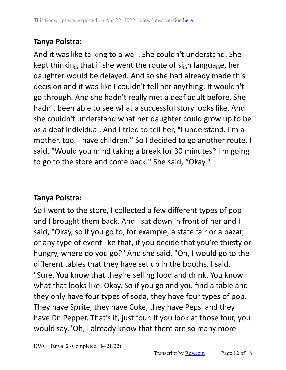And it was like talking to a wall. She couldn't understand. She kept thinking that if she went the route of sign language, her daughter would be delayed. And so she had already made this decision and it was like I couldn't tell her anything. It wouldn't go through. And she hadn't really met a deaf adult before. She hadn't been able to see what a successful story looks like. And she couldn't understand what her daughter could grow up to be as a deaf individual. And I tried to tell her, "I understand. I'm a mother, too. I have children." So I decided to go another route. I said, "Would you mind taking a break for 30 minutes? I'm going to go to the store and come back." She said, "Okay."

### **Tanya Polstra:**

So I went to the store, I collected a few different types of pop and I brought them back. And I sat down in front of her and I said, "Okay, so if you go to, for example, a state fair or a bazar, or any type of event like that, if you decide that you're thirsty or hungry, where do you go?" And she said, "Oh, I would go to the different tables that they have set up in the booths. I said, "Sure. You know that they're selling food and drink. You know what that looks like. Okay. So if you go and you find a table and they only have four types of soda, they have four types of pop. They have Sprite, they have Coke, they have Pepsi and they have Dr. Pepper. That's it, just four. If you look at those four, you would say, 'Oh, I already know that there are so many more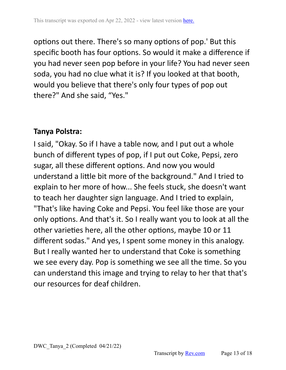options out there. There's so many options of pop.' But this specific booth has four options. So would it make a difference if you had never seen pop before in your life? You had never seen soda, you had no clue what it is? If you looked at that booth, would you believe that there's only four types of pop out there?" And she said, "Yes."

#### **Tanya Polstra:**

I said, "Okay. So if I have a table now, and I put out a whole bunch of different types of pop, if I put out Coke, Pepsi, zero sugar, all these different options. And now you would understand a little bit more of the background." And I tried to explain to her more of how... She feels stuck, she doesn't want to teach her daughter sign language. And I tried to explain, "That's like having Coke and Pepsi. You feel like those are your only options. And that's it. So I really want you to look at all the other varieties here, all the other options, maybe 10 or 11 different sodas." And yes, I spent some money in this analogy. But I really wanted her to understand that Coke is something we see every day. Pop is something we see all the time. So you can understand this image and trying to relay to her that that's our resources for deaf children.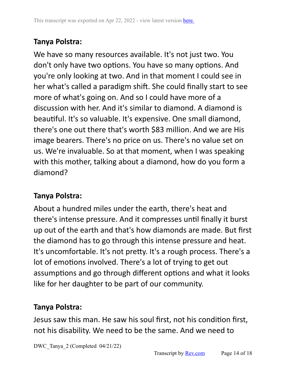We have so many resources available. It's not just two. You don't only have two options. You have so many options. And you're only looking at two. And in that moment I could see in her what's called a paradigm shift. She could finally start to see more of what's going on. And so I could have more of a discussion with her. And it's similar to diamond. A diamond is beautiful. It's so valuable. It's expensive. One small diamond, there's one out there that's worth \$83 million. And we are His image bearers. There's no price on us. There's no value set on us. We're invaluable. So at that moment, when I was speaking with this mother, talking about a diamond, how do you form a diamond?

### **Tanya Polstra:**

About a hundred miles under the earth, there's heat and there's intense pressure. And it compresses until finally it burst up out of the earth and that's how diamonds are made. But first the diamond has to go through this intense pressure and heat. It's uncomfortable. It's not pretty. It's a rough process. There's a lot of emotions involved. There's a lot of trying to get out assumptions and go through different options and what it looks like for her daughter to be part of our community.

### **Tanya Polstra:**

Jesus saw this man. He saw his soul first, not his condition first, not his disability. We need to be the same. And we need to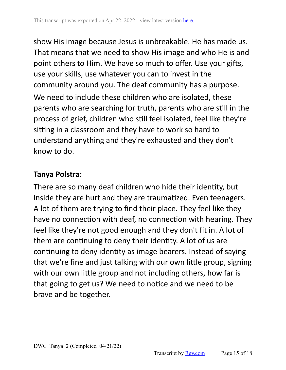show His image because Jesus is unbreakable. He has made us. That means that we need to show His image and who He is and point others to Him. We have so much to offer. Use your gifts, use your skills, use whatever you can to invest in the community around you. The deaf community has a purpose. We need to include these children who are isolated, these parents who are searching for truth, parents who are still in the process of grief, children who still feel isolated, feel like they're sitting in a classroom and they have to work so hard to understand anything and they're exhausted and they don't know to do.

### **Tanya Polstra:**

There are so many deaf children who hide their identity, but inside they are hurt and they are traumatized. Even teenagers. A lot of them are trying to find their place. They feel like they have no connection with deaf, no connection with hearing. They feel like they're not good enough and they don't fit in. A lot of them are continuing to deny their identity. A lot of us are continuing to deny identity as image bearers. Instead of saying that we're fine and just talking with our own little group, signing with our own little group and not including others, how far is that going to get us? We need to notice and we need to be brave and be together.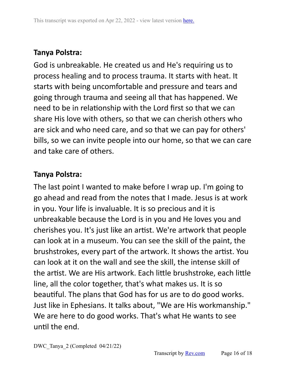God is unbreakable. He created us and He's requiring us to process healing and to process trauma. It starts with heat. It starts with being uncomfortable and pressure and tears and going through trauma and seeing all that has happened. We need to be in relationship with the Lord first so that we can share His love with others, so that we can cherish others who are sick and who need care, and so that we can pay for others' bills, so we can invite people into our home, so that we can care and take care of others.

### **Tanya Polstra:**

The last point I wanted to make before I wrap up. I'm going to go ahead and read from the notes that I made. Jesus is at work in you. Your life is invaluable. It is so precious and it is unbreakable because the Lord is in you and He loves you and cherishes you. It's just like an artist. We're artwork that people can look at in a museum. You can see the skill of the paint, the brushstrokes, every part of the artwork. It shows the artist. You can look at it on the wall and see the skill, the intense skill of the artist. We are His artwork. Each little brushstroke, each little line, all the color together, that's what makes us. It is so beautiful. The plans that God has for us are to do good works. Just like in Ephesians. It talks about, "We are His workmanship." We are here to do good works. That's what He wants to see until the end.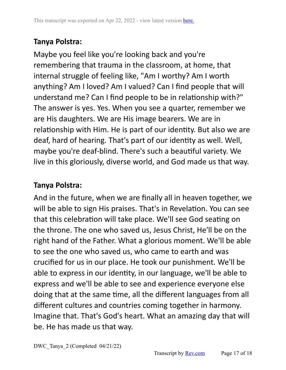Maybe you feel like you're looking back and you're remembering that trauma in the classroom, at home, that internal struggle of feeling like, "Am I worthy? Am I worth anything? Am I loved? Am I valued? Can I find people that will understand me? Can I find people to be in relationship with?" The answer is yes. Yes. When you see a quarter, remember we are His daughters. We are His image bearers. We are in relationship with Him. He is part of our identity. But also we are deaf, hard of hearing. That's part of our identity as well. Well, maybe you're deaf-blind. There's such a beautiful variety. We live in this gloriously, diverse world, and God made us that way.

### **Tanya Polstra:**

And in the future, when we are finally all in heaven together, we will be able to sign His praises. That's in Revelation. You can see that this celebration will take place. We'll see God seating on the throne. The one who saved us, Jesus Christ, He'll be on the right hand of the Father. What a glorious moment. We'll be able to see the one who saved us, who came to earth and was crucified for us in our place. He took our punishment. We'll be able to express in our identity, in our language, we'll be able to express and we'll be able to see and experience everyone else doing that at the same time, all the different languages from all different cultures and countries coming together in harmony. Imagine that. That's God's heart. What an amazing day that will be. He has made us that way.